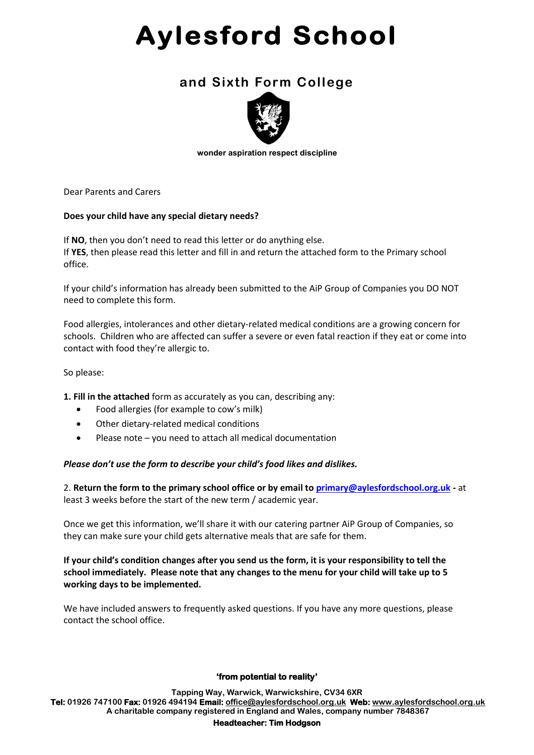# **Aylesford School**

## **and Sixth Form College**



 **wonder aspiration respect discipline**

Dear Parents and Carers

### **Does your child have any special dietary needs?**

If **NO**, then you don't need to read this letter or do anything else. If **YES**, then please read this letter and fill in and return the attached form to the Primary school office.

If your child's information has already been submitted to the AiP Group of Companies you DO NOT need to complete this form.

Food allergies, intolerances and other dietary-related medical conditions are a growing concern for schools. Children who are affected can suffer a severe or even fatal reaction if they eat or come into contact with food they're allergic to.

So please:

**1. Fill in the attached** form as accurately as you can, describing any:

- Food allergies (for example to cow's milk)
- Other dietary-related medical conditions
- Please note you need to attach all medical documentation

### *Please don't use the form to describe your child's food likes and dislikes.*

2. **Return the form to the primary school office or by email t[o primary@aylesfordschool.org.uk](mailto:primary@aylesfordschool.org.uk) -** at least 3 weeks before the start of the new term / academic year.

Once we get this information, we'll share it with our catering partner AiP Group of Companies, so they can make sure your child gets alternative meals that are safe for them.

**If your child's condition changes after you send us the form, it is your responsibility to tell the school immediately. Please note that any changes to the menu for your child will take up to 5 working days to be implemented.**

We have included answers to frequently asked questions. If you have any more questions, please contact the school office.

### **'from potential to reality'**

**Tapping Way, Warwick, Warwickshire, CV34 6XR Tel: 01926 747100 Fax: 01926 494194 Email: [office@aylesfords](mailto:office@aylesford-elearning.net)chool.org.uk Web: [www.aylesfordschool.org.uk](http://www.aylesford-elearning.net/) A charitable company registered in England and Wales, company number 7848367**